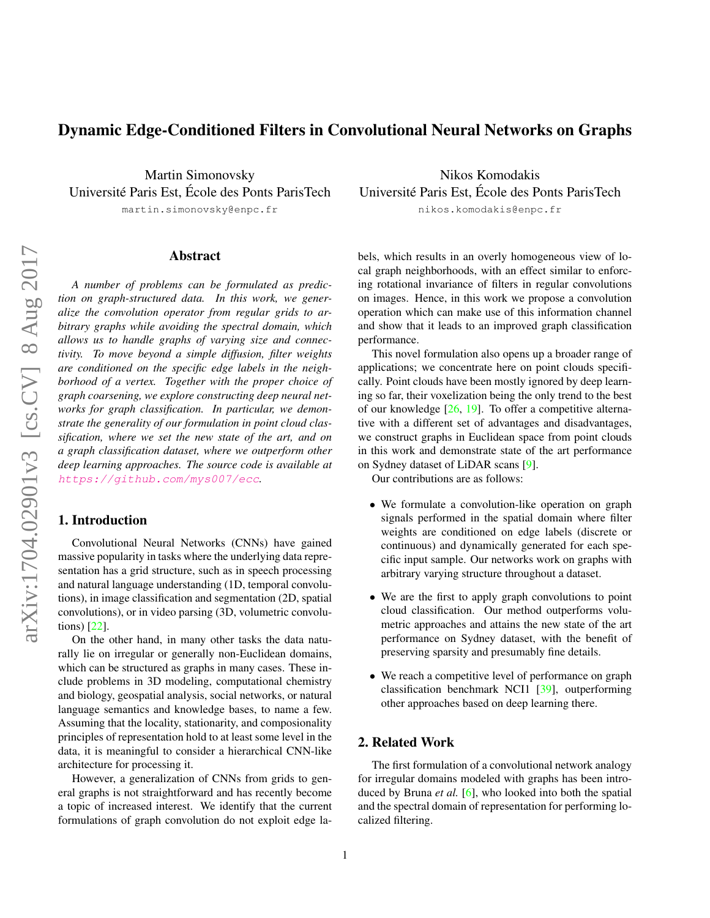# <span id="page-0-0"></span>Dynamic Edge-Conditioned Filters in Convolutional Neural Networks on Graphs

Martin Simonovsky Université Paris Est, École des Ponts ParisTech

martin.simonovsky@enpc.fr

### Abstract

*A number of problems can be formulated as prediction on graph-structured data. In this work, we generalize the convolution operator from regular grids to arbitrary graphs while avoiding the spectral domain, which allows us to handle graphs of varying size and connectivity. To move beyond a simple diffusion, filter weights are conditioned on the specific edge labels in the neighborhood of a vertex. Together with the proper choice of graph coarsening, we explore constructing deep neural networks for graph classification. In particular, we demonstrate the generality of our formulation in point cloud classification, where we set the new state of the art, and on a graph classification dataset, where we outperform other deep learning approaches. The source code is available at* <https://github.com/mys007/ecc>*.*

# 1. Introduction

Convolutional Neural Networks (CNNs) have gained massive popularity in tasks where the underlying data representation has a grid structure, such as in speech processing and natural language understanding (1D, temporal convolutions), in image classification and segmentation (2D, spatial convolutions), or in video parsing (3D, volumetric convolutions) [\[22\]](#page-8-0).

On the other hand, in many other tasks the data naturally lie on irregular or generally non-Euclidean domains, which can be structured as graphs in many cases. These include problems in 3D modeling, computational chemistry and biology, geospatial analysis, social networks, or natural language semantics and knowledge bases, to name a few. Assuming that the locality, stationarity, and composionality principles of representation hold to at least some level in the data, it is meaningful to consider a hierarchical CNN-like architecture for processing it.

However, a generalization of CNNs from grids to general graphs is not straightforward and has recently become a topic of increased interest. We identify that the current formulations of graph convolution do not exploit edge la-

Nikos Komodakis Université Paris Est, École des Ponts ParisTech

nikos.komodakis@enpc.fr

bels, which results in an overly homogeneous view of local graph neighborhoods, with an effect similar to enforcing rotational invariance of filters in regular convolutions on images. Hence, in this work we propose a convolution operation which can make use of this information channel and show that it leads to an improved graph classification performance.

This novel formulation also opens up a broader range of applications; we concentrate here on point clouds specifically. Point clouds have been mostly ignored by deep learning so far, their voxelization being the only trend to the best of our knowledge [\[26,](#page-8-1) [19\]](#page-8-2). To offer a competitive alternative with a different set of advantages and disadvantages, we construct graphs in Euclidean space from point clouds in this work and demonstrate state of the art performance on Sydney dataset of LiDAR scans [\[9\]](#page-8-3).

Our contributions are as follows:

- We formulate a convolution-like operation on graph signals performed in the spatial domain where filter weights are conditioned on edge labels (discrete or continuous) and dynamically generated for each specific input sample. Our networks work on graphs with arbitrary varying structure throughout a dataset.
- We are the first to apply graph convolutions to point cloud classification. Our method outperforms volumetric approaches and attains the new state of the art performance on Sydney dataset, with the benefit of preserving sparsity and presumably fine details.
- We reach a competitive level of performance on graph classification benchmark NCI1 [\[39\]](#page-9-0), outperforming other approaches based on deep learning there.

# 2. Related Work

The first formulation of a convolutional network analogy for irregular domains modeled with graphs has been introduced by Bruna *et al.* [\[6\]](#page-8-4), who looked into both the spatial and the spectral domain of representation for performing localized filtering.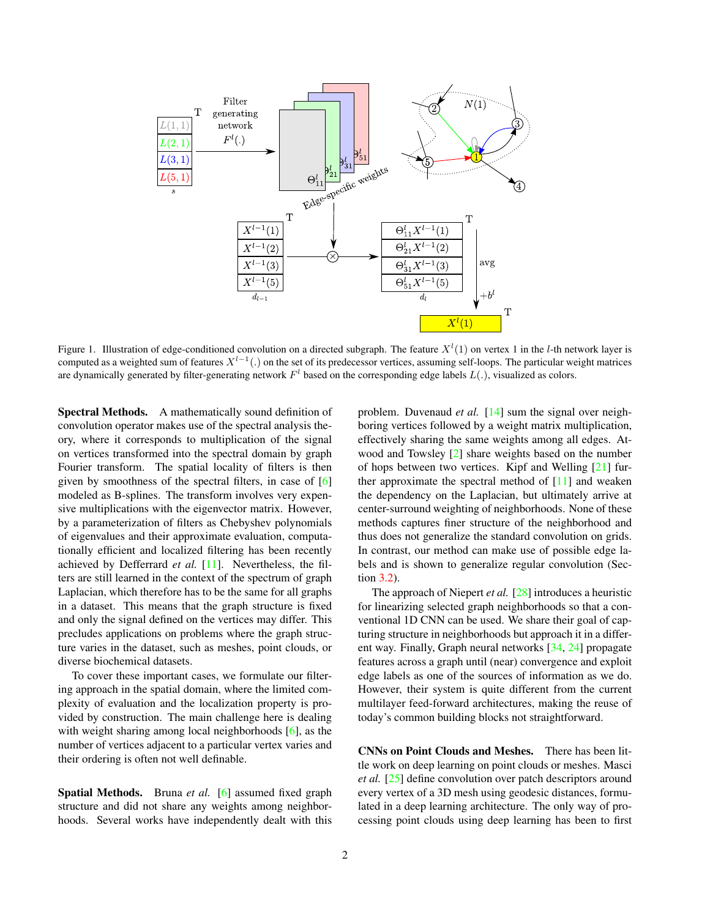<span id="page-1-1"></span>

<span id="page-1-0"></span>Figure 1. Illustration of edge-conditioned convolution on a directed subgraph. The feature  $X^l(1)$  on vertex 1 in the l-th network layer is computed as a weighted sum of features  $X^{l-1}(.)$  on the set of its predecessor vertices, assuming self-loops. The particular weight matrices are dynamically generated by filter-generating network  $F^l$  based on the corresponding edge labels  $L(.)$ , visualized as colors.

Spectral Methods. A mathematically sound definition of convolution operator makes use of the spectral analysis theory, where it corresponds to multiplication of the signal on vertices transformed into the spectral domain by graph Fourier transform. The spatial locality of filters is then given by smoothness of the spectral filters, in case of [\[6\]](#page-8-4) modeled as B-splines. The transform involves very expensive multiplications with the eigenvector matrix. However, by a parameterization of filters as Chebyshev polynomials of eigenvalues and their approximate evaluation, computationally efficient and localized filtering has been recently achieved by Defferrard *et al.* [\[11\]](#page-8-5). Nevertheless, the filters are still learned in the context of the spectrum of graph Laplacian, which therefore has to be the same for all graphs in a dataset. This means that the graph structure is fixed and only the signal defined on the vertices may differ. This precludes applications on problems where the graph structure varies in the dataset, such as meshes, point clouds, or diverse biochemical datasets.

To cover these important cases, we formulate our filtering approach in the spatial domain, where the limited complexity of evaluation and the localization property is provided by construction. The main challenge here is dealing with weight sharing among local neighborhoods [\[6\]](#page-8-4), as the number of vertices adjacent to a particular vertex varies and their ordering is often not well definable.

Spatial Methods. Bruna *et al.* [\[6\]](#page-8-4) assumed fixed graph structure and did not share any weights among neighborhoods. Several works have independently dealt with this

problem. Duvenaud *et al.* [\[14\]](#page-8-6) sum the signal over neighboring vertices followed by a weight matrix multiplication, effectively sharing the same weights among all edges. Atwood and Towsley [\[2\]](#page-8-7) share weights based on the number of hops between two vertices. Kipf and Welling [\[21\]](#page-8-8) further approximate the spectral method of  $[11]$  and weaken the dependency on the Laplacian, but ultimately arrive at center-surround weighting of neighborhoods. None of these methods captures finer structure of the neighborhood and thus does not generalize the standard convolution on grids. In contrast, our method can make use of possible edge labels and is shown to generalize regular convolution (Section [3.2\)](#page-2-0).

The approach of Niepert *et al.* [\[28\]](#page-8-9) introduces a heuristic for linearizing selected graph neighborhoods so that a conventional 1D CNN can be used. We share their goal of capturing structure in neighborhoods but approach it in a different way. Finally, Graph neural networks [\[34,](#page-8-10) [24\]](#page-8-11) propagate features across a graph until (near) convergence and exploit edge labels as one of the sources of information as we do. However, their system is quite different from the current multilayer feed-forward architectures, making the reuse of today's common building blocks not straightforward.

CNNs on Point Clouds and Meshes. There has been little work on deep learning on point clouds or meshes. Masci *et al.* [\[25\]](#page-8-12) define convolution over patch descriptors around every vertex of a 3D mesh using geodesic distances, formulated in a deep learning architecture. The only way of processing point clouds using deep learning has been to first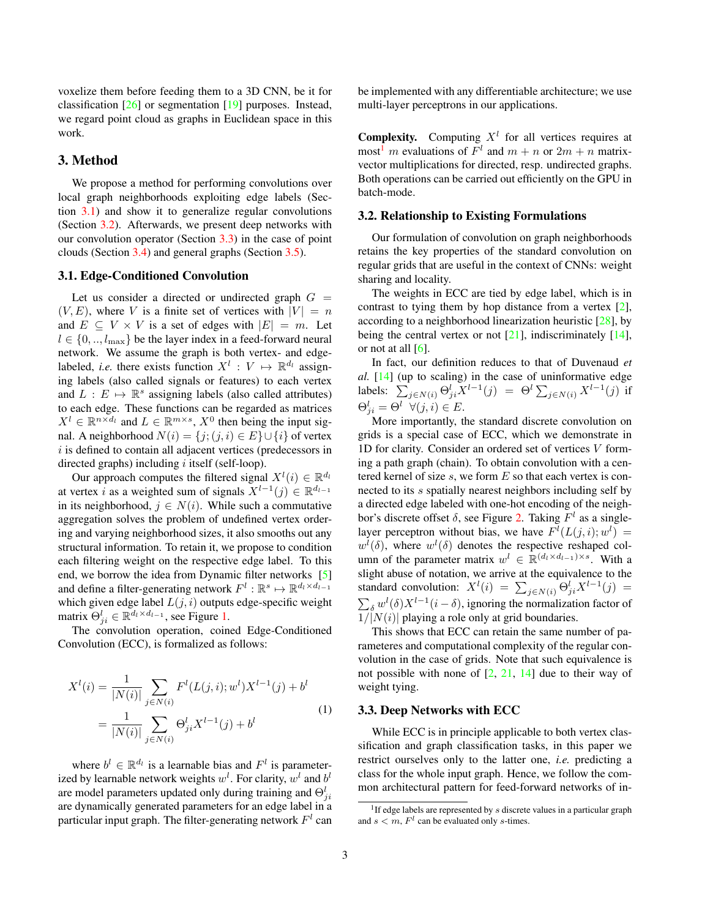<span id="page-2-4"></span>voxelize them before feeding them to a 3D CNN, be it for classification [\[26\]](#page-8-1) or segmentation [\[19\]](#page-8-2) purposes. Instead, we regard point cloud as graphs in Euclidean space in this work.

# 3. Method

We propose a method for performing convolutions over local graph neighborhoods exploiting edge labels (Section [3.1\)](#page-2-1) and show it to generalize regular convolutions (Section [3.2\)](#page-2-0). Afterwards, we present deep networks with our convolution operator (Section [3.3\)](#page-2-2) in the case of point clouds (Section [3.4\)](#page-3-0) and general graphs (Section [3.5\)](#page-4-0).

#### <span id="page-2-1"></span>3.1. Edge-Conditioned Convolution

Let us consider a directed or undirected graph  $G =$  $(V, E)$ , where V is a finite set of vertices with  $|V| = n$ and  $E \subseteq V \times V$  is a set of edges with  $|E| = m$ . Let  $l \in \{0, \ldots, l_{\text{max}}\}$  be the layer index in a feed-forward neural network. We assume the graph is both vertex- and edgelabeled, *i.e.* there exists function  $X^l : V \mapsto \mathbb{R}^{d_l}$  assigning labels (also called signals or features) to each vertex and  $L : E \mapsto \mathbb{R}^s$  assigning labels (also called attributes) to each edge. These functions can be regarded as matrices  $X^l \in \mathbb{R}^{n \times d_l}$  and  $L \in \mathbb{R}^{m \times s}$ ,  $X^0$  then being the input signal. A neighborhood  $N(i) = \{j; (j, i) \in E\} \cup \{i\}$  of vertex  $i$  is defined to contain all adjacent vertices (predecessors in directed graphs) including i itself (self-loop).

Our approach computes the filtered signal  $X^l(i) \in \mathbb{R}^{d_l}$ at vertex *i* as a weighted sum of signals  $X^{l-1}(j) \in \mathbb{R}^{d_{l-1}}$ in its neighborhood,  $j \in N(i)$ . While such a commutative aggregation solves the problem of undefined vertex ordering and varying neighborhood sizes, it also smooths out any structural information. To retain it, we propose to condition each filtering weight on the respective edge label. To this end, we borrow the idea from Dynamic filter networks [\[5\]](#page-8-13) and define a filter-generating network  $F^l : \mathbb{R}^s \mapsto \mathbb{R}^{d_l \times d_{l-1}}$ which given edge label  $L(j, i)$  outputs edge-specific weight matrix  $\Theta_{ji}^l \in \mathbb{R}^{d_l \times d_{l-1}}$ , see Figure [1.](#page-1-0)

The convolution operation, coined Edge-Conditioned Convolution (ECC), is formalized as follows:

<span id="page-2-5"></span>
$$
X^{l}(i) = \frac{1}{|N(i)|} \sum_{j \in N(i)} F^{l}(L(j, i); w^{l}) X^{l-1}(j) + b^{l}
$$

$$
= \frac{1}{|N(i)|} \sum_{j \in N(i)} \Theta_{ji}^{l} X^{l-1}(j) + b^{l}
$$
(1)

where  $b^l \in \mathbb{R}^{d_l}$  is a learnable bias and  $F^l$  is parameterized by learnable network weights  $w^l$ . For clarity,  $w^l$  and  $b^l$ are model parameters updated only during training and  $\Theta_{ji}^l$ are dynamically generated parameters for an edge label in a particular input graph. The filter-generating network  $F<sup>l</sup>$  can be implemented with any differentiable architecture; we use multi-layer perceptrons in our applications.

**Complexity.** Computing  $X<sup>l</sup>$  for all vertices requires at most<sup>[1](#page-2-3)</sup> m evaluations of  $F^l$  and  $m + n$  or  $2m + n$  matrixvector multiplications for directed, resp. undirected graphs. Both operations can be carried out efficiently on the GPU in batch-mode.

# <span id="page-2-0"></span>3.2. Relationship to Existing Formulations

Our formulation of convolution on graph neighborhoods retains the key properties of the standard convolution on regular grids that are useful in the context of CNNs: weight sharing and locality.

The weights in ECC are tied by edge label, which is in contrast to tying them by hop distance from a vertex [\[2\]](#page-8-7), according to a neighborhood linearization heuristic [\[28\]](#page-8-9), by being the central vertex or not  $[21]$ , indiscriminately  $[14]$ , or not at all  $[6]$ .

In fact, our definition reduces to that of Duvenaud *et al.* [\[14\]](#page-8-6) (up to scaling) in the case of uninformative edge labels:  $\sum_{j \in N(i)} \Theta_{ji}^{l} X^{l-1}(j) = \Theta^l \sum_{j \in N(i)} X^{l-1}(j)$  if  $\Theta_{ji}^l = \Theta^l \ \ \forall (j,i) \in E.$ 

More importantly, the standard discrete convolution on grids is a special case of ECC, which we demonstrate in 1D for clarity. Consider an ordered set of vertices V forming a path graph (chain). To obtain convolution with a centered kernel of size  $s$ , we form  $E$  so that each vertex is connected to its s spatially nearest neighbors including self by a directed edge labeled with one-hot encoding of the neighbor's discrete offset  $\delta$ , see Figure [2.](#page-3-1) Taking  $F<sup>l</sup>$  as a singlelayer perceptron without bias, we have  $F^l(L(j,i); w^l) =$  $w^{l}(\delta)$ , where  $w^{l}(\delta)$  denotes the respective reshaped column of the parameter matrix  $w^l \in \mathbb{R}^{(d_l \times d_{l-1}) \times s}$ . With a slight abuse of notation, we arrive at the equivalence to the standard convolution:  $X^l(i) = \sum_{j \in N(i)} \Theta_{ji}^l X^{l-1}(j) =$  $\sum_{\delta} w^{l}(\delta) X^{l-1} (i - \delta)$ , ignoring the normalization factor of  $1/|N(i)|$  playing a role only at grid boundaries.

This shows that ECC can retain the same number of parameteres and computational complexity of the regular convolution in the case of grids. Note that such equivalence is not possible with none of  $[2, 21, 14]$  $[2, 21, 14]$  $[2, 21, 14]$  $[2, 21, 14]$  $[2, 21, 14]$  due to their way of weight tying.

#### <span id="page-2-2"></span>3.3. Deep Networks with ECC

While ECC is in principle applicable to both vertex classification and graph classification tasks, in this paper we restrict ourselves only to the latter one, *i.e.* predicting a class for the whole input graph. Hence, we follow the common architectural pattern for feed-forward networks of in-

<span id="page-2-3"></span><sup>&</sup>lt;sup>1</sup> If edge labels are represented by  $s$  discrete values in a particular graph and  $s < m$ ,  $F<sup>l</sup>$  can be evaluated only s-times.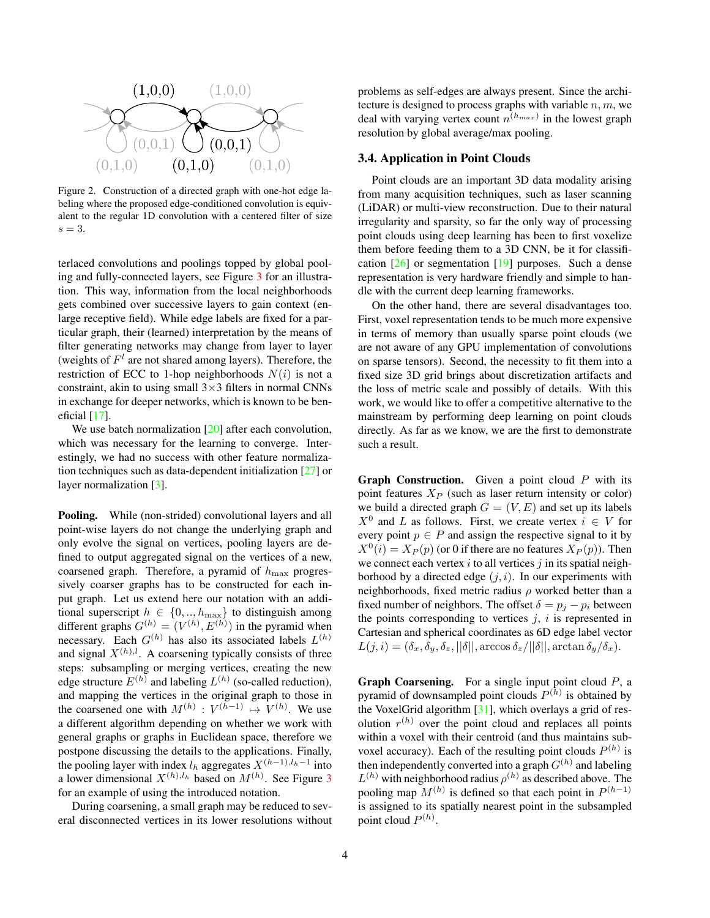<span id="page-3-2"></span>

<span id="page-3-1"></span>Figure 2. Construction of a directed graph with one-hot edge labeling where the proposed edge-conditioned convolution is equivalent to the regular 1D convolution with a centered filter of size  $s=3$ .

terlaced convolutions and poolings topped by global pooling and fully-connected layers, see Figure [3](#page-4-1) for an illustration. This way, information from the local neighborhoods gets combined over successive layers to gain context (enlarge receptive field). While edge labels are fixed for a particular graph, their (learned) interpretation by the means of filter generating networks may change from layer to layer (weights of  $F<sup>l</sup>$  are not shared among layers). Therefore, the restriction of ECC to 1-hop neighborhoods  $N(i)$  is not a constraint, akin to using small  $3\times3$  filters in normal CNNs in exchange for deeper networks, which is known to be beneficial [\[17\]](#page-8-14).

We use batch normalization [\[20\]](#page-8-15) after each convolution, which was necessary for the learning to converge. Interestingly, we had no success with other feature normalization techniques such as data-dependent initialization [\[27\]](#page-8-16) or layer normalization [\[3\]](#page-8-17).

Pooling. While (non-strided) convolutional layers and all point-wise layers do not change the underlying graph and only evolve the signal on vertices, pooling layers are defined to output aggregated signal on the vertices of a new, coarsened graph. Therefore, a pyramid of  $h_{\text{max}}$  progressively coarser graphs has to be constructed for each input graph. Let us extend here our notation with an additional superscript  $h \in \{0, \ldots, h_{\text{max}}\}$  to distinguish among different graphs  $G^{(h)} = (V^{(h)}, E^{(h)})$  in the pyramid when necessary. Each  $G^{(h)}$  has also its associated labels  $L^{(h)}$ and signal  $X^{(h),l}$ . A coarsening typically consists of three steps: subsampling or merging vertices, creating the new edge structure  $E^{(h)}$  and labeling  $L^{(h)}$  (so-called reduction), and mapping the vertices in the original graph to those in the coarsened one with  $M^{(h)}: V^{(h-1)} \mapsto V^{(h)}$ . We use a different algorithm depending on whether we work with general graphs or graphs in Euclidean space, therefore we postpone discussing the details to the applications. Finally, the pooling layer with index  $l_h$  aggregates  $X^{(h-1),l_h-1}$  into a lower dimensional  $X^{(h),l_h}$  based on  $M^{(h)}$ . See Figure [3](#page-4-1) for an example of using the introduced notation.

During coarsening, a small graph may be reduced to several disconnected vertices in its lower resolutions without problems as self-edges are always present. Since the architecture is designed to process graphs with variable  $n, m$ , we deal with varying vertex count  $n^{(h_{max})}$  in the lowest graph resolution by global average/max pooling.

#### <span id="page-3-0"></span>3.4. Application in Point Clouds

Point clouds are an important 3D data modality arising from many acquisition techniques, such as laser scanning (LiDAR) or multi-view reconstruction. Due to their natural irregularity and sparsity, so far the only way of processing point clouds using deep learning has been to first voxelize them before feeding them to a 3D CNN, be it for classification [\[26\]](#page-8-1) or segmentation [\[19\]](#page-8-2) purposes. Such a dense representation is very hardware friendly and simple to handle with the current deep learning frameworks.

On the other hand, there are several disadvantages too. First, voxel representation tends to be much more expensive in terms of memory than usually sparse point clouds (we are not aware of any GPU implementation of convolutions on sparse tensors). Second, the necessity to fit them into a fixed size 3D grid brings about discretization artifacts and the loss of metric scale and possibly of details. With this work, we would like to offer a competitive alternative to the mainstream by performing deep learning on point clouds directly. As far as we know, we are the first to demonstrate such a result.

**Graph Construction.** Given a point cloud  $P$  with its point features  $X_P$  (such as laser return intensity or color) we build a directed graph  $G = (V, E)$  and set up its labels  $X^0$  and L as follows. First, we create vertex  $i \in V$  for every point  $p \in P$  and assign the respective signal to it by  $X^0(i) = X_P(p)$  (or 0 if there are no features  $X_P(p)$ ). Then we connect each vertex i to all vertices j in its spatial neighborhood by a directed edge  $(j, i)$ . In our experiments with neighborhoods, fixed metric radius  $\rho$  worked better than a fixed number of neighbors. The offset  $\delta = p_j - p_i$  between the points corresponding to vertices  $j$ ,  $i$  is represented in Cartesian and spherical coordinates as 6D edge label vector  $L(j, i) = (\delta_x, \delta_y, \delta_z, ||\delta||, \arccos \delta_z/||\delta||, \arctan \delta_y/\delta_x).$ 

**Graph Coarsening.** For a single input point cloud  $P$ , a pyramid of downsampled point clouds  $P^{(h)}$  is obtained by the VoxelGrid algorithm [\[31\]](#page-8-18), which overlays a grid of resolution  $r^{(h)}$  over the point cloud and replaces all points within a voxel with their centroid (and thus maintains subvoxel accuracy). Each of the resulting point clouds  $P^{(h)}$  is then independently converted into a graph  $G^{(h)}$  and labeling  $L^{(h)}$  with neighborhood radius  $\rho^{(h)}$  as described above. The pooling map  $M^{(h)}$  is defined so that each point in  $P^{(h-1)}$ is assigned to its spatially nearest point in the subsampled point cloud  $P^{(h)}$ .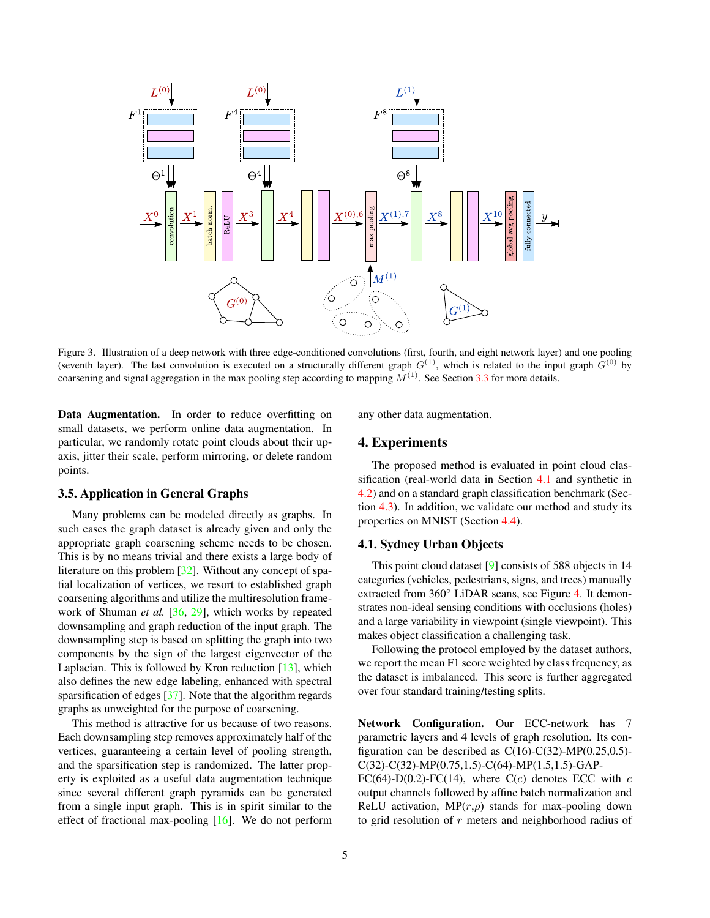<span id="page-4-3"></span>

<span id="page-4-1"></span>Figure 3. Illustration of a deep network with three edge-conditioned convolutions (first, fourth, and eight network layer) and one pooling (seventh layer). The last convolution is executed on a structurally different graph  $G^{(1)}$ , which is related to the input graph  $G^{(0)}$  by coarsening and signal aggregation in the max pooling step according to mapping  $M^{(1)}$ . See Section [3.3](#page-2-2) for more details.

Data Augmentation. In order to reduce overfitting on small datasets, we perform online data augmentation. In particular, we randomly rotate point clouds about their upaxis, jitter their scale, perform mirroring, or delete random points.

### <span id="page-4-0"></span>3.5. Application in General Graphs

Many problems can be modeled directly as graphs. In such cases the graph dataset is already given and only the appropriate graph coarsening scheme needs to be chosen. This is by no means trivial and there exists a large body of literature on this problem [\[32\]](#page-8-19). Without any concept of spatial localization of vertices, we resort to established graph coarsening algorithms and utilize the multiresolution framework of Shuman *et al.* [\[36,](#page-8-20) [29\]](#page-8-21), which works by repeated downsampling and graph reduction of the input graph. The downsampling step is based on splitting the graph into two components by the sign of the largest eigenvector of the Laplacian. This is followed by Kron reduction  $[13]$ , which also defines the new edge labeling, enhanced with spectral sparsification of edges [\[37\]](#page-8-23). Note that the algorithm regards graphs as unweighted for the purpose of coarsening.

This method is attractive for us because of two reasons. Each downsampling step removes approximately half of the vertices, guaranteeing a certain level of pooling strength, and the sparsification step is randomized. The latter property is exploited as a useful data augmentation technique since several different graph pyramids can be generated from a single input graph. This is in spirit similar to the effect of fractional max-pooling [\[16\]](#page-8-24). We do not perform

any other data augmentation.

### 4. Experiments

The proposed method is evaluated in point cloud classification (real-world data in Section [4.1](#page-4-2) and synthetic in [4.2\)](#page-5-0) and on a standard graph classification benchmark (Section [4.3\)](#page-5-1). In addition, we validate our method and study its properties on MNIST (Section [4.4\)](#page-6-0).

#### <span id="page-4-2"></span>4.1. Sydney Urban Objects

This point cloud dataset [\[9\]](#page-8-3) consists of 588 objects in 14 categories (vehicles, pedestrians, signs, and trees) manually extracted from 360◦ LiDAR scans, see Figure [4.](#page-5-2) It demonstrates non-ideal sensing conditions with occlusions (holes) and a large variability in viewpoint (single viewpoint). This makes object classification a challenging task.

Following the protocol employed by the dataset authors, we report the mean F1 score weighted by class frequency, as the dataset is imbalanced. This score is further aggregated over four standard training/testing splits.

Network Configuration. Our ECC-network has 7 parametric layers and 4 levels of graph resolution. Its configuration can be described as  $C(16)-C(32)-MP(0.25,0.5)-$ C(32)-C(32)-MP(0.75,1.5)-C(64)-MP(1.5,1.5)-GAP-

FC(64)-D(0.2)-FC(14), where C(c) denotes ECC with  $c$ output channels followed by affine batch normalization and ReLU activation,  $MP(r, \rho)$  stands for max-pooling down to grid resolution of  $r$  meters and neighborhood radius of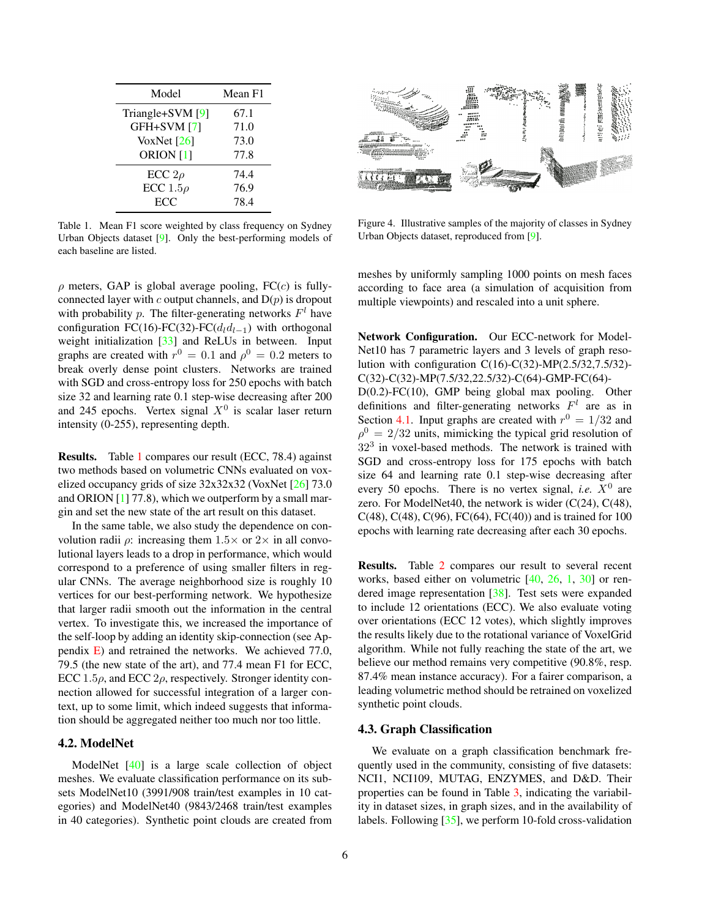<span id="page-5-4"></span>

| Model                | Mean F1 |
|----------------------|---------|
| Triangle+SVM [9]     | 67.1    |
| GFH+SVM [7]          | 71.0    |
| VoxNet $[26]$        | 73.0    |
| ORION <sub>[1]</sub> | 77.8    |
| ECC $2\rho$          | 74.4    |
| ECC $1.5\rho$        | 76.9    |
| <b>ECC</b>           | 78.4    |

<span id="page-5-3"></span>Table 1. Mean F1 score weighted by class frequency on Sydney Urban Objects dataset [\[9\]](#page-8-3). Only the best-performing models of each baseline are listed.

 $\rho$  meters, GAP is global average pooling, FC(c) is fullyconnected layer with  $c$  output channels, and  $D(p)$  is dropout with probability p. The filter-generating networks  $F<sup>l</sup>$  have configuration FC(16)-FC(32)-FC( $d<sub>l</sub>d<sub>l-1</sub>$ ) with orthogonal weight initialization [\[33\]](#page-8-27) and ReLUs in between. Input graphs are created with  $r^0 = 0.1$  and  $\rho^0 = 0.2$  meters to break overly dense point clusters. Networks are trained with SGD and cross-entropy loss for 250 epochs with batch size 32 and learning rate 0.1 step-wise decreasing after 200 and 245 epochs. Vertex signal  $X^0$  is scalar laser return intensity (0-255), representing depth.

Results. Table [1](#page-5-3) compares our result (ECC, 78.4) against two methods based on volumetric CNNs evaluated on voxelized occupancy grids of size 32x32x32 (VoxNet [\[26\]](#page-8-1) 73.0 and ORION  $[1]$  77.8), which we outperform by a small margin and set the new state of the art result on this dataset.

In the same table, we also study the dependence on convolution radii  $\rho$ : increasing them  $1.5 \times$  or  $2 \times$  in all convolutional layers leads to a drop in performance, which would correspond to a preference of using smaller filters in regular CNNs. The average neighborhood size is roughly 10 vertices for our best-performing network. We hypothesize that larger radii smooth out the information in the central vertex. To investigate this, we increased the importance of the self-loop by adding an identity skip-connection (see Appendix [E\)](#page-10-0) and retrained the networks. We achieved 77.0, 79.5 (the new state of the art), and 77.4 mean F1 for ECC, ECC 1.5 $\rho$ , and ECC 2 $\rho$ , respectively. Stronger identity connection allowed for successful integration of a larger context, up to some limit, which indeed suggests that information should be aggregated neither too much nor too little.

### <span id="page-5-0"></span>4.2. ModelNet

ModelNet [\[40\]](#page-9-1) is a large scale collection of object meshes. We evaluate classification performance on its subsets ModelNet10 (3991/908 train/test examples in 10 categories) and ModelNet40 (9843/2468 train/test examples in 40 categories). Synthetic point clouds are created from



Figure 4. Illustrative samples of the majority of classes in Sydney Urban Objects dataset, reproduced from [\[9\]](#page-8-3).

<span id="page-5-2"></span>meshes by uniformly sampling 1000 points on mesh faces according to face area (a simulation of acquisition from multiple viewpoints) and rescaled into a unit sphere.

Network Configuration. Our ECC-network for Model-Net10 has 7 parametric layers and 3 levels of graph resolution with configuration  $C(16)$ -C(32)-MP(2.5/32,7.5/32)-C(32)-C(32)-MP(7.5/32,22.5/32)-C(64)-GMP-FC(64)- D(0.2)-FC(10), GMP being global max pooling. Other definitions and filter-generating networks  $F<sup>l</sup>$  are as in Section [4.1.](#page-4-2) Input graphs are created with  $r^0 = 1/32$  and  $\rho^0 = 2/32$  units, mimicking the typical grid resolution of  $32<sup>3</sup>$  in voxel-based methods. The network is trained with SGD and cross-entropy loss for 175 epochs with batch size 64 and learning rate 0.1 step-wise decreasing after every 50 epochs. There is no vertex signal, *i.e.*  $X^0$  are zero. For ModelNet40, the network is wider  $(C(24), C(48))$ , C(48), C(48), C(96), FC(64), FC(40)) and is trained for  $100$ epochs with learning rate decreasing after each 30 epochs.

Results. Table [2](#page-6-1) compares our result to several recent works, based either on volumetric [\[40,](#page-9-1) [26,](#page-8-1) [1,](#page-8-26) [30\]](#page-8-28) or rendered image representation [\[38\]](#page-8-29). Test sets were expanded to include 12 orientations (ECC). We also evaluate voting over orientations (ECC 12 votes), which slightly improves the results likely due to the rotational variance of VoxelGrid algorithm. While not fully reaching the state of the art, we believe our method remains very competitive (90.8%, resp. 87.4% mean instance accuracy). For a fairer comparison, a leading volumetric method should be retrained on voxelized synthetic point clouds.

#### <span id="page-5-1"></span>4.3. Graph Classification

We evaluate on a graph classification benchmark frequently used in the community, consisting of five datasets: NCI1, NCI109, MUTAG, ENZYMES, and D&D. Their properties can be found in Table [3,](#page-6-2) indicating the variability in dataset sizes, in graph sizes, and in the availability of labels. Following [\[35\]](#page-8-30), we perform 10-fold cross-validation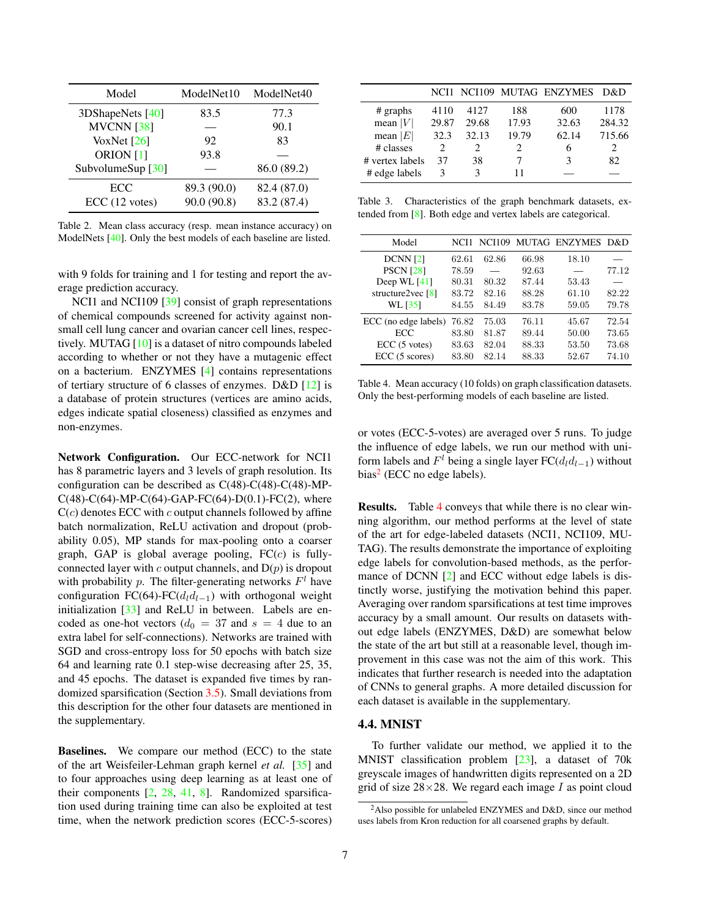<span id="page-6-5"></span>

| Model               | ModelNet10  | ModelNet40  |
|---------------------|-------------|-------------|
| 3DShapeNets $[40]$  | 83.5        | 77.3        |
| <b>MVCNN</b> [38]   |             | 90.1        |
| VoxNet $[26]$       | 92          | 83          |
| ORION [1]           | 93.8        |             |
| SubvolumeSup $[30]$ |             | 86.0 (89.2) |
| ECC                 | 89.3 (90.0) | 82.4 (87.0) |
| ECC (12 votes)      | 90.0 (90.8) | 83.2 (87.4) |

<span id="page-6-1"></span>Table 2. Mean class accuracy (resp. mean instance accuracy) on ModelNets [\[40\]](#page-9-1). Only the best models of each baseline are listed.

with 9 folds for training and 1 for testing and report the average prediction accuracy.

NCI1 and NCI109 [\[39\]](#page-9-0) consist of graph representations of chemical compounds screened for activity against nonsmall cell lung cancer and ovarian cancer cell lines, respectively. MUTAG [\[10\]](#page-8-31) is a dataset of nitro compounds labeled according to whether or not they have a mutagenic effect on a bacterium. ENZYMES [\[4\]](#page-8-32) contains representations of tertiary structure of 6 classes of enzymes. D&D [\[12\]](#page-8-33) is a database of protein structures (vertices are amino acids, edges indicate spatial closeness) classified as enzymes and non-enzymes.

Network Configuration. Our ECC-network for NCI1 has 8 parametric layers and 3 levels of graph resolution. Its configuration can be described as C(48)-C(48)-C(48)-MP- $C(48)$ -C(64)-MP-C(64)-GAP-FC(64)-D(0.1)-FC(2), where  $C(c)$  denotes ECC with c output channels followed by affine batch normalization, ReLU activation and dropout (probability 0.05), MP stands for max-pooling onto a coarser graph, GAP is global average pooling,  $FC(c)$  is fullyconnected layer with c output channels, and  $D(p)$  is dropout with probability p. The filter-generating networks  $F<sup>l</sup>$  have configuration FC(64)-FC( $d_l d_{l-1}$ ) with orthogonal weight initialization [\[33\]](#page-8-27) and ReLU in between. Labels are encoded as one-hot vectors ( $d_0 = 37$  and  $s = 4$  due to an extra label for self-connections). Networks are trained with SGD and cross-entropy loss for 50 epochs with batch size 64 and learning rate 0.1 step-wise decreasing after 25, 35, and 45 epochs. The dataset is expanded five times by randomized sparsification (Section [3.5\)](#page-4-0). Small deviations from this description for the other four datasets are mentioned in the supplementary.

Baselines. We compare our method (ECC) to the state of the art Weisfeiler-Lehman graph kernel *et al.* [\[35\]](#page-8-30) and to four approaches using deep learning as at least one of their components  $[2, 28, 41, 8]$  $[2, 28, 41, 8]$  $[2, 28, 41, 8]$  $[2, 28, 41, 8]$  $[2, 28, 41, 8]$  $[2, 28, 41, 8]$  $[2, 28, 41, 8]$ . Randomized sparsification used during training time can also be exploited at test time, when the network prediction scores (ECC-5-scores)

|                 |               |       |       | NCI1 NCI109 MUTAG ENZYMES | D&D    |
|-----------------|---------------|-------|-------|---------------------------|--------|
| $#$ graphs      | 4110          | 4127  | 188   | 600                       | 1178   |
| mean $ V $      | 29.87         | 29.68 | 17.93 | 32.63                     | 284.32 |
| mean $ E $      | 32.3          | 32.13 | 19.79 | 62.14                     | 715.66 |
| # classes       | $\mathcal{D}$ |       |       |                           |        |
| # vertex labels | 37            | 38    |       | 3                         | 82     |
| # edge labels   | 3             | 3     | 11    |                           |        |

<span id="page-6-2"></span>Table 3. Characteristics of the graph benchmark datasets, extended from [\[8\]](#page-8-34). Both edge and vertex labels are categorical.

| Model                  | NCI1  |       |       | NCI109 MUTAG ENZYMES | D&D   |
|------------------------|-------|-------|-------|----------------------|-------|
| DCNN[2]                | 62.61 | 62.86 | 66.98 | 18.10                |       |
| <b>PSCN</b> [28]       | 78.59 |       | 92.63 |                      | 77.12 |
| Deep WL $[41]$         | 80.31 | 80.32 | 87.44 | 53.43                |       |
| structure2vec $[8]$    | 83.72 | 82.16 | 88.28 | 61.10                | 82.22 |
| WL [35]                | 84.55 | 84.49 | 83.78 | 59.05                | 79.78 |
| ECC (no edge labels)   | 76.82 | 75.03 | 76.11 | 45.67                | 72.54 |
| <b>ECC</b>             | 83.80 | 81.87 | 89.44 | 50.00                | 73.65 |
| $ECC(5 \text{ votes})$ | 83.63 | 82.04 | 88.33 | 53.50                | 73.68 |
| ECC(5 scores)          | 83.80 | 82.14 | 88.33 | 52.67                | 74.10 |

<span id="page-6-4"></span>Table 4. Mean accuracy (10 folds) on graph classification datasets. Only the best-performing models of each baseline are listed.

or votes (ECC-5-votes) are averaged over 5 runs. To judge the influence of edge labels, we run our method with uniform labels and  $F^l$  being a single layer  $FC(d_l d_{l-1})$  without bias<sup>[2](#page-6-3)</sup> (ECC no edge labels).

Results. Table [4](#page-6-4) conveys that while there is no clear winning algorithm, our method performs at the level of state of the art for edge-labeled datasets (NCI1, NCI109, MU-TAG). The results demonstrate the importance of exploiting edge labels for convolution-based methods, as the performance of DCNN [\[2\]](#page-8-7) and ECC without edge labels is distinctly worse, justifying the motivation behind this paper. Averaging over random sparsifications at test time improves accuracy by a small amount. Our results on datasets without edge labels (ENZYMES, D&D) are somewhat below the state of the art but still at a reasonable level, though improvement in this case was not the aim of this work. This indicates that further research is needed into the adaptation of CNNs to general graphs. A more detailed discussion for each dataset is available in the supplementary.

#### <span id="page-6-0"></span>4.4. MNIST

To further validate our method, we applied it to the MNIST classification problem [\[23\]](#page-8-35), a dataset of 70k greyscale images of handwritten digits represented on a 2D grid of size  $28 \times 28$ . We regard each image I as point cloud

<span id="page-6-3"></span><sup>&</sup>lt;sup>2</sup>Also possible for unlabeled ENZYMES and D&D, since our method uses labels from Kron reduction for all coarsened graphs by default.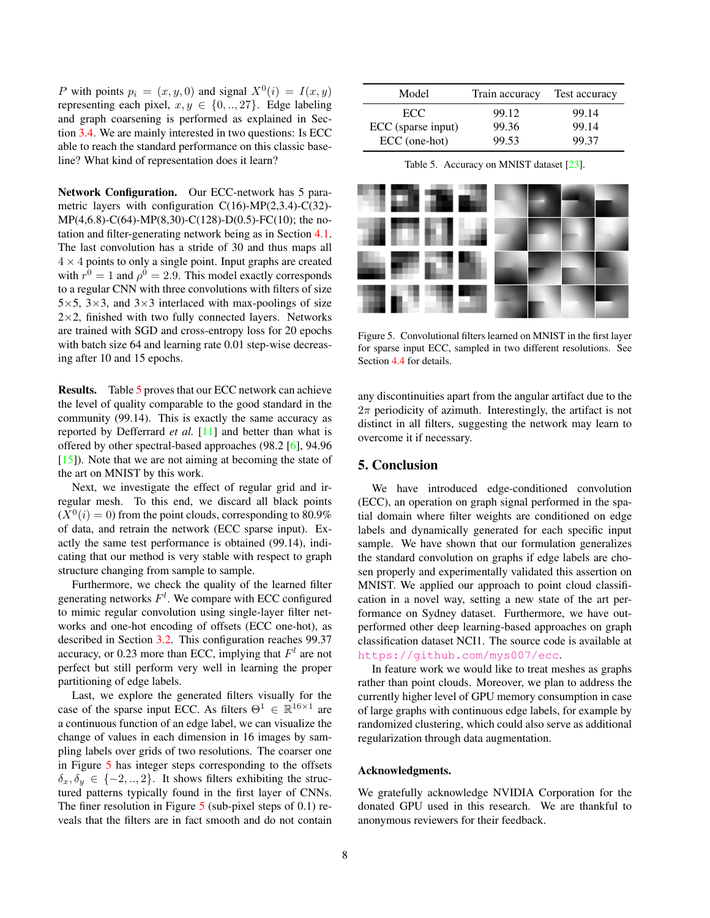<span id="page-7-2"></span>P with points  $p_i = (x, y, 0)$  and signal  $X^0(i) = I(x, y)$ representing each pixel,  $x, y \in \{0, \ldots, 27\}$ . Edge labeling and graph coarsening is performed as explained in Section [3.4.](#page-3-0) We are mainly interested in two questions: Is ECC able to reach the standard performance on this classic baseline? What kind of representation does it learn?

Network Configuration. Our ECC-network has 5 parametric layers with configuration C(16)-MP(2,3.4)-C(32)- MP(4,6.8)-C(64)-MP(8,30)-C(128)-D(0.5)-FC(10); the notation and filter-generating network being as in Section [4.1.](#page-4-2) The last convolution has a stride of 30 and thus maps all  $4 \times 4$  points to only a single point. Input graphs are created with  $r^0 = 1$  and  $\rho^0 = 2.9$ . This model exactly corresponds to a regular CNN with three convolutions with filters of size  $5\times5$ ,  $3\times3$ , and  $3\times3$  interlaced with max-poolings of size  $2\times2$ , finished with two fully connected layers. Networks are trained with SGD and cross-entropy loss for 20 epochs with batch size 64 and learning rate 0.01 step-wise decreasing after 10 and 15 epochs.

Results. Table [5](#page-7-0) proves that our ECC network can achieve the level of quality comparable to the good standard in the community (99.14). This is exactly the same accuracy as reported by Defferrard *et al.* [\[11\]](#page-8-5) and better than what is offered by other spectral-based approaches (98.2 [\[6\]](#page-8-4), 94.96 [\[15\]](#page-8-36)). Note that we are not aiming at becoming the state of the art on MNIST by this work.

Next, we investigate the effect of regular grid and irregular mesh. To this end, we discard all black points  $(X^0(i) = 0)$  from the point clouds, corresponding to 80.9% of data, and retrain the network (ECC sparse input). Exactly the same test performance is obtained (99.14), indicating that our method is very stable with respect to graph structure changing from sample to sample.

Furthermore, we check the quality of the learned filter generating networks  $F^l$ . We compare with ECC configured to mimic regular convolution using single-layer filter networks and one-hot encoding of offsets (ECC one-hot), as described in Section [3.2.](#page-2-0) This configuration reaches 99.37 accuracy, or 0.23 more than ECC, implying that  $F<sup>l</sup>$  are not perfect but still perform very well in learning the proper partitioning of edge labels.

Last, we explore the generated filters visually for the case of the sparse input ECC. As filters  $\Theta^1 \in \mathbb{R}^{16 \times 1}$  are a continuous function of an edge label, we can visualize the change of values in each dimension in 16 images by sampling labels over grids of two resolutions. The coarser one in Figure [5](#page-7-1) has integer steps corresponding to the offsets  $\delta_x, \delta_y \in \{-2, ..., 2\}$ . It shows filters exhibiting the structured patterns typically found in the first layer of CNNs. The finer resolution in Figure [5](#page-7-1) (sub-pixel steps of 0.1) reveals that the filters are in fact smooth and do not contain

| Model              | Train accuracy | Test accuracy |
|--------------------|----------------|---------------|
| ECC.               | 99.12          | 99.14         |
| ECC (sparse input) | 99.36          | 99.14         |
| ECC (one-hot)      | 99.53          | 99.37         |

<span id="page-7-0"></span>Table 5. Accuracy on MNIST dataset [\[23\]](#page-8-35).



<span id="page-7-1"></span>Figure 5. Convolutional filters learned on MNIST in the first layer for sparse input ECC, sampled in two different resolutions. See Section [4.4](#page-6-0) for details.

any discontinuities apart from the angular artifact due to the  $2\pi$  periodicity of azimuth. Interestingly, the artifact is not distinct in all filters, suggesting the network may learn to overcome it if necessary.

## 5. Conclusion

We have introduced edge-conditioned convolution (ECC), an operation on graph signal performed in the spatial domain where filter weights are conditioned on edge labels and dynamically generated for each specific input sample. We have shown that our formulation generalizes the standard convolution on graphs if edge labels are chosen properly and experimentally validated this assertion on MNIST. We applied our approach to point cloud classification in a novel way, setting a new state of the art performance on Sydney dataset. Furthermore, we have outperformed other deep learning-based approaches on graph classification dataset NCI1. The source code is available at <https://github.com/mys007/ecc>.

In feature work we would like to treat meshes as graphs rather than point clouds. Moreover, we plan to address the currently higher level of GPU memory consumption in case of large graphs with continuous edge labels, for example by randomized clustering, which could also serve as additional regularization through data augmentation.

### Acknowledgments.

We gratefully acknowledge NVIDIA Corporation for the donated GPU used in this research. We are thankful to anonymous reviewers for their feedback.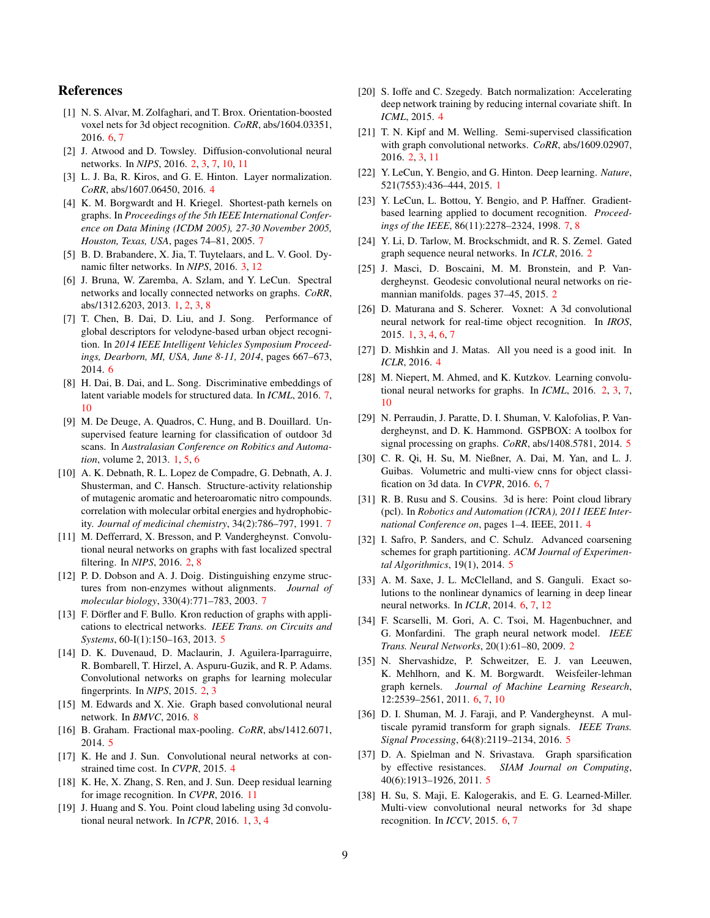# References

- <span id="page-8-26"></span>[1] N. S. Alvar, M. Zolfaghari, and T. Brox. Orientation-boosted voxel nets for 3d object recognition. *CoRR*, abs/1604.03351, 2016. [6,](#page-5-4) [7](#page-6-5)
- <span id="page-8-7"></span>[2] J. Atwood and D. Towsley. Diffusion-convolutional neural networks. In *NIPS*, 2016. [2,](#page-1-1) [3,](#page-2-4) [7,](#page-6-5) [10,](#page-9-3) [11](#page-10-1)
- <span id="page-8-17"></span>[3] L. J. Ba, R. Kiros, and G. E. Hinton. Layer normalization. *CoRR*, abs/1607.06450, 2016. [4](#page-3-2)
- <span id="page-8-32"></span>[4] K. M. Borgwardt and H. Kriegel. Shortest-path kernels on graphs. In *Proceedings of the 5th IEEE International Conference on Data Mining (ICDM 2005), 27-30 November 2005, Houston, Texas, USA*, pages 74–81, 2005. [7](#page-6-5)
- <span id="page-8-13"></span>[5] B. D. Brabandere, X. Jia, T. Tuytelaars, and L. V. Gool. Dynamic filter networks. In *NIPS*, 2016. [3,](#page-2-4) [12](#page-11-0)
- <span id="page-8-4"></span>[6] J. Bruna, W. Zaremba, A. Szlam, and Y. LeCun. Spectral networks and locally connected networks on graphs. *CoRR*, abs/1312.6203, 2013. [1,](#page-0-0) [2,](#page-1-1) [3,](#page-2-4) [8](#page-7-2)
- <span id="page-8-25"></span>[7] T. Chen, B. Dai, D. Liu, and J. Song. Performance of global descriptors for velodyne-based urban object recognition. In *2014 IEEE Intelligent Vehicles Symposium Proceedings, Dearborn, MI, USA, June 8-11, 2014*, pages 667–673, 2014. [6](#page-5-4)
- <span id="page-8-34"></span>[8] H. Dai, B. Dai, and L. Song. Discriminative embeddings of latent variable models for structured data. In *ICML*, 2016. [7,](#page-6-5) [10](#page-9-3)
- <span id="page-8-3"></span>[9] M. De Deuge, A. Quadros, C. Hung, and B. Douillard. Unsupervised feature learning for classification of outdoor 3d scans. In *Australasian Conference on Robitics and Automation*, volume 2, 2013. [1,](#page-0-0) [5,](#page-4-3) [6](#page-5-4)
- <span id="page-8-31"></span>[10] A. K. Debnath, R. L. Lopez de Compadre, G. Debnath, A. J. Shusterman, and C. Hansch. Structure-activity relationship of mutagenic aromatic and heteroaromatic nitro compounds. correlation with molecular orbital energies and hydrophobicity. *Journal of medicinal chemistry*, 34(2):786–797, 1991. [7](#page-6-5)
- <span id="page-8-5"></span>[11] M. Defferrard, X. Bresson, and P. Vandergheynst. Convolutional neural networks on graphs with fast localized spectral filtering. In *NIPS*, 2016. [2,](#page-1-1) [8](#page-7-2)
- <span id="page-8-33"></span>[12] P. D. Dobson and A. J. Doig. Distinguishing enzyme structures from non-enzymes without alignments. *Journal of molecular biology*, 330(4):771–783, 2003. [7](#page-6-5)
- <span id="page-8-22"></span>[13] F. Dörfler and F. Bullo. Kron reduction of graphs with applications to electrical networks. *IEEE Trans. on Circuits and Systems*, 60-I(1):150–163, 2013. [5](#page-4-3)
- <span id="page-8-6"></span>[14] D. K. Duvenaud, D. Maclaurin, J. Aguilera-Iparraguirre, R. Bombarell, T. Hirzel, A. Aspuru-Guzik, and R. P. Adams. Convolutional networks on graphs for learning molecular fingerprints. In *NIPS*, 2015. [2,](#page-1-1) [3](#page-2-4)
- <span id="page-8-36"></span>[15] M. Edwards and X. Xie. Graph based convolutional neural network. In *BMVC*, 2016. [8](#page-7-2)
- <span id="page-8-24"></span>[16] B. Graham. Fractional max-pooling. *CoRR*, abs/1412.6071, 2014. [5](#page-4-3)
- <span id="page-8-14"></span>[17] K. He and J. Sun. Convolutional neural networks at constrained time cost. In *CVPR*, 2015. [4](#page-3-2)
- <span id="page-8-37"></span>[18] K. He, X. Zhang, S. Ren, and J. Sun. Deep residual learning for image recognition. In *CVPR*, 2016. [11](#page-10-1)
- <span id="page-8-2"></span>[19] J. Huang and S. You. Point cloud labeling using 3d convolutional neural network. In *ICPR*, 2016. [1,](#page-0-0) [3,](#page-2-4) [4](#page-3-2)
- <span id="page-8-15"></span>[20] S. Ioffe and C. Szegedy. Batch normalization: Accelerating deep network training by reducing internal covariate shift. In *ICML*, 2015. [4](#page-3-2)
- <span id="page-8-8"></span>[21] T. N. Kipf and M. Welling. Semi-supervised classification with graph convolutional networks. *CoRR*, abs/1609.02907, 2016. [2,](#page-1-1) [3,](#page-2-4) [11](#page-10-1)
- <span id="page-8-0"></span>[22] Y. LeCun, Y. Bengio, and G. Hinton. Deep learning. *Nature*, 521(7553):436–444, 2015. [1](#page-0-0)
- <span id="page-8-35"></span>[23] Y. LeCun, L. Bottou, Y. Bengio, and P. Haffner. Gradientbased learning applied to document recognition. *Proceedings of the IEEE*, 86(11):2278–2324, 1998. [7,](#page-6-5) [8](#page-7-2)
- <span id="page-8-11"></span>[24] Y. Li, D. Tarlow, M. Brockschmidt, and R. S. Zemel. Gated graph sequence neural networks. In *ICLR*, 2016. [2](#page-1-1)
- <span id="page-8-12"></span>[25] J. Masci, D. Boscaini, M. M. Bronstein, and P. Vandergheynst. Geodesic convolutional neural networks on riemannian manifolds. pages 37–45, 2015. [2](#page-1-1)
- <span id="page-8-1"></span>[26] D. Maturana and S. Scherer. Voxnet: A 3d convolutional neural network for real-time object recognition. In *IROS*, 2015. [1,](#page-0-0) [3,](#page-2-4) [4,](#page-3-2) [6,](#page-5-4) [7](#page-6-5)
- <span id="page-8-16"></span>[27] D. Mishkin and J. Matas. All you need is a good init. In *ICLR*, 2016. [4](#page-3-2)
- <span id="page-8-9"></span>[28] M. Niepert, M. Ahmed, and K. Kutzkov. Learning convolutional neural networks for graphs. In *ICML*, 2016. [2,](#page-1-1) [3,](#page-2-4) [7,](#page-6-5) [10](#page-9-3)
- <span id="page-8-21"></span>[29] N. Perraudin, J. Paratte, D. I. Shuman, V. Kalofolias, P. Vandergheynst, and D. K. Hammond. GSPBOX: A toolbox for signal processing on graphs. *CoRR*, abs/1408.5781, 2014. [5](#page-4-3)
- <span id="page-8-28"></span>[30] C. R. Qi, H. Su, M. Nießner, A. Dai, M. Yan, and L. J. Guibas. Volumetric and multi-view cnns for object classification on 3d data. In *CVPR*, 2016. [6,](#page-5-4) [7](#page-6-5)
- <span id="page-8-18"></span>[31] R. B. Rusu and S. Cousins. 3d is here: Point cloud library (pcl). In *Robotics and Automation (ICRA), 2011 IEEE International Conference on*, pages 1–4. IEEE, 2011. [4](#page-3-2)
- <span id="page-8-19"></span>[32] I. Safro, P. Sanders, and C. Schulz. Advanced coarsening schemes for graph partitioning. *ACM Journal of Experimental Algorithmics*, 19(1), 2014. [5](#page-4-3)
- <span id="page-8-27"></span>[33] A. M. Saxe, J. L. McClelland, and S. Ganguli. Exact solutions to the nonlinear dynamics of learning in deep linear neural networks. In *ICLR*, 2014. [6,](#page-5-4) [7,](#page-6-5) [12](#page-11-0)
- <span id="page-8-10"></span>[34] F. Scarselli, M. Gori, A. C. Tsoi, M. Hagenbuchner, and G. Monfardini. The graph neural network model. *IEEE Trans. Neural Networks*, 20(1):61–80, 2009. [2](#page-1-1)
- <span id="page-8-30"></span>[35] N. Shervashidze, P. Schweitzer, E. J. van Leeuwen, K. Mehlhorn, and K. M. Borgwardt. Weisfeiler-lehman graph kernels. *Journal of Machine Learning Research*, 12:2539–2561, 2011. [6,](#page-5-4) [7,](#page-6-5) [10](#page-9-3)
- <span id="page-8-20"></span>[36] D. I. Shuman, M. J. Faraji, and P. Vandergheynst. A multiscale pyramid transform for graph signals. *IEEE Trans. Signal Processing*, 64(8):2119–2134, 2016. [5](#page-4-3)
- <span id="page-8-23"></span>[37] D. A. Spielman and N. Srivastava. Graph sparsification by effective resistances. *SIAM Journal on Computing*, 40(6):1913–1926, 2011. [5](#page-4-3)
- <span id="page-8-29"></span>[38] H. Su, S. Maji, E. Kalogerakis, and E. G. Learned-Miller. Multi-view convolutional neural networks for 3d shape recognition. In *ICCV*, 2015. [6,](#page-5-4) [7](#page-6-5)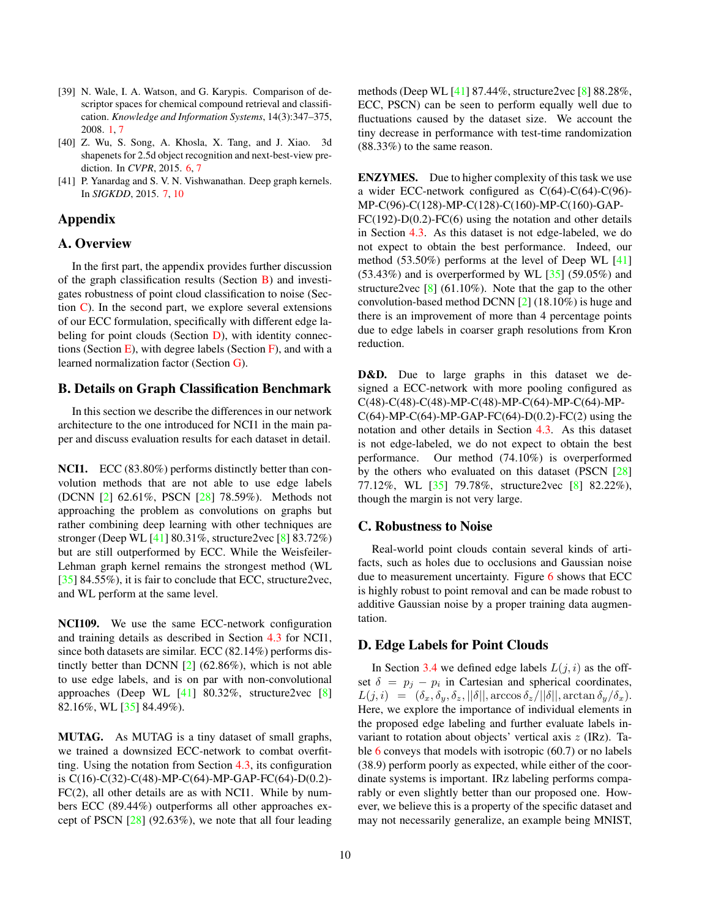- <span id="page-9-3"></span><span id="page-9-0"></span>[39] N. Wale, I. A. Watson, and G. Karypis. Comparison of descriptor spaces for chemical compound retrieval and classification. *Knowledge and Information Systems*, 14(3):347–375, 2008. [1,](#page-0-0) [7](#page-6-5)
- <span id="page-9-1"></span>[40] Z. Wu, S. Song, A. Khosla, X. Tang, and J. Xiao. 3d shapenets for 2.5d object recognition and next-best-view prediction. In *CVPR*, 2015. [6,](#page-5-4) [7](#page-6-5)
- <span id="page-9-2"></span>[41] P. Yanardag and S. V. N. Vishwanathan. Deep graph kernels. In *SIGKDD*, 2015. [7,](#page-6-5) [10](#page-9-3)

# Appendix

# A. Overview

In the first part, the appendix provides further discussion of the graph classification results (Section [B\)](#page-9-4) and investigates robustness of point cloud classification to noise (Section  $\mathbb{C}$ ). In the second part, we explore several extensions of our ECC formulation, specifically with different edge labeling for point clouds (Section  $D$ ), with identity connections (Section  $E$ ), with degree labels (Section  $F$ ), and with a learned normalization factor (Section [G\)](#page-10-3).

# <span id="page-9-4"></span>B. Details on Graph Classification Benchmark

In this section we describe the differences in our network architecture to the one introduced for NCI1 in the main paper and discuss evaluation results for each dataset in detail.

NCI1. ECC (83.80%) performs distinctly better than convolution methods that are not able to use edge labels (DCNN [\[2\]](#page-8-7) 62.61%, PSCN [\[28\]](#page-8-9) 78.59%). Methods not approaching the problem as convolutions on graphs but rather combining deep learning with other techniques are stronger (Deep WL [\[41\]](#page-9-2) 80.31%, structure2vec [\[8\]](#page-8-34) 83.72%) but are still outperformed by ECC. While the Weisfeiler-Lehman graph kernel remains the strongest method (WL [\[35\]](#page-8-30) 84.55%), it is fair to conclude that ECC, structure2vec, and WL perform at the same level.

NCI109. We use the same ECC-network configuration and training details as described in Section [4.3](#page-5-1) for NCI1, since both datasets are similar. ECC (82.14%) performs distinctly better than DCNN [\[2\]](#page-8-7) (62.86%), which is not able to use edge labels, and is on par with non-convolutional approaches (Deep WL [\[41\]](#page-9-2) 80.32%, structure2vec [\[8\]](#page-8-34) 82.16%, WL [\[35\]](#page-8-30) 84.49%).

MUTAG. As MUTAG is a tiny dataset of small graphs, we trained a downsized ECC-network to combat overfitting. Using the notation from Section [4.3,](#page-5-1) its configuration is C(16)-C(32)-C(48)-MP-C(64)-MP-GAP-FC(64)-D(0.2)- FC(2), all other details are as with NCI1. While by numbers ECC (89.44%) outperforms all other approaches except of PSCN [\[28\]](#page-8-9) (92.63%), we note that all four leading methods (Deep WL [\[41\]](#page-9-2) 87.44%, structure2vec [\[8\]](#page-8-34) 88.28%, ECC, PSCN) can be seen to perform equally well due to fluctuations caused by the dataset size. We account the tiny decrease in performance with test-time randomization (88.33%) to the same reason.

ENZYMES. Due to higher complexity of this task we use a wider ECC-network configured as C(64)-C(64)-C(96)- MP-C(96)-C(128)-MP-C(128)-C(160)-MP-C(160)-GAP- $FC(192)-D(0.2)-FC(6)$  using the notation and other details in Section [4.3.](#page-5-1) As this dataset is not edge-labeled, we do not expect to obtain the best performance. Indeed, our method (53.50%) performs at the level of Deep WL [\[41\]](#page-9-2)  $(53.43\%)$  and is overperformed by WL  $[35]$   $(59.05\%)$  and structure2vec  $[8]$  (61.10%). Note that the gap to the other convolution-based method DCNN [\[2\]](#page-8-7) (18.10%) is huge and there is an improvement of more than 4 percentage points due to edge labels in coarser graph resolutions from Kron reduction.

D&D. Due to large graphs in this dataset we designed a ECC-network with more pooling configured as C(48)-C(48)-C(48)-MP-C(48)-MP-C(64)-MP-C(64)-MP- $C(64)$ -MP-C(64)-MP-GAP-FC(64)-D(0.2)-FC(2) using the notation and other details in Section [4.3.](#page-5-1) As this dataset is not edge-labeled, we do not expect to obtain the best performance. Our method (74.10%) is overperformed by the others who evaluated on this dataset (PSCN [\[28\]](#page-8-9) 77.12%, WL [\[35\]](#page-8-30) 79.78%, structure2vec [\[8\]](#page-8-34) 82.22%), though the margin is not very large.

# <span id="page-9-5"></span>C. Robustness to Noise

Real-world point clouds contain several kinds of artifacts, such as holes due to occlusions and Gaussian noise due to measurement uncertainty. Figure [6](#page-10-4) shows that ECC is highly robust to point removal and can be made robust to additive Gaussian noise by a proper training data augmentation.

# <span id="page-9-6"></span>D. Edge Labels for Point Clouds

In Section [3.4](#page-3-0) we defined edge labels  $L(j, i)$  as the offset  $\delta = p_j - p_i$  in Cartesian and spherical coordinates,  $L(j, i) = (\delta_x, \delta_y, \delta_z, ||\delta||, \arccos \delta_z/||\delta||, \arctan \delta_y/\delta_x).$ Here, we explore the importance of individual elements in the proposed edge labeling and further evaluate labels invariant to rotation about objects' vertical axis z (IRz). Table [6](#page-10-5) conveys that models with isotropic (60.7) or no labels (38.9) perform poorly as expected, while either of the coordinate systems is important. IRz labeling performs comparably or even slightly better than our proposed one. However, we believe this is a property of the specific dataset and may not necessarily generalize, an example being MNIST,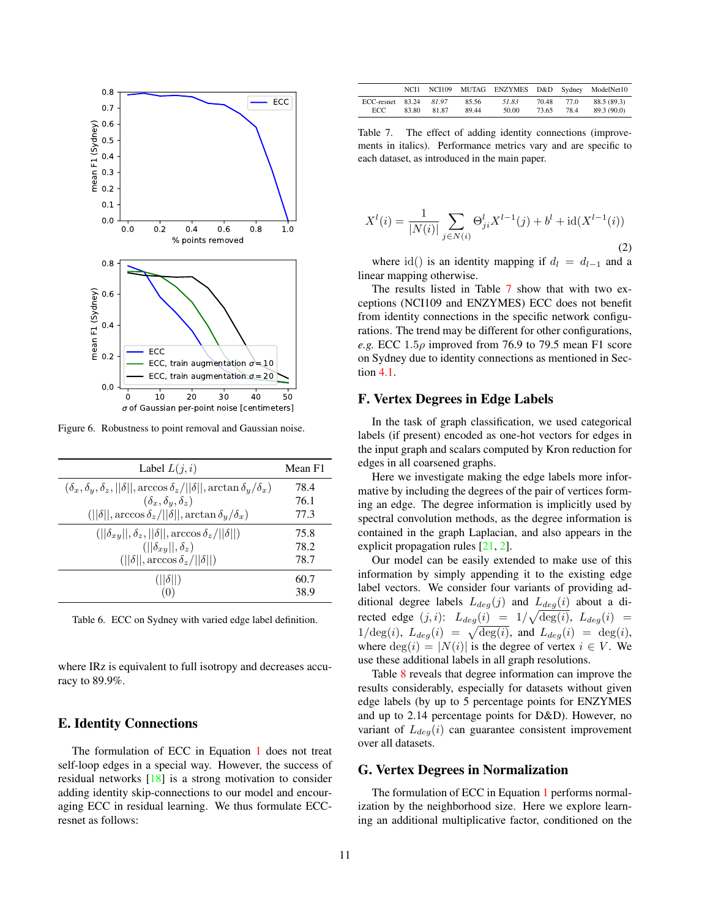<span id="page-10-1"></span>

<span id="page-10-4"></span>Figure 6. Robustness to point removal and Gaussian noise.

| Label $L(j, i)$                                                                                      | Mean F1 |
|------------------------------------------------------------------------------------------------------|---------|
| $(\delta_x, \delta_y, \delta_z,   \delta  , \arccos \delta_z/  \delta  , \arctan \delta_y/\delta_x)$ | 78.4    |
| $(\delta_x, \delta_y, \delta_z)$                                                                     | 76.1    |
| $(  \delta  , \arccos \delta_z/  \delta  , \arctan \delta_y/\delta_x)$                               | 77.3    |
| $(  \delta_{xy}  , \delta_z,   \delta  , \arccos \delta_z/  \delta  )$                               | 75.8    |
| $(  \delta_{xu}  , \delta_z)$                                                                        | 78.2    |
| $(  \delta  , \arccos \delta_z/  \delta  )$                                                          | 78.7    |
| $(  \delta  )$                                                                                       | 60.7    |
| (0)                                                                                                  | 38.9    |

<span id="page-10-5"></span>Table 6. ECC on Sydney with varied edge label definition.

where IRz is equivalent to full isotropy and decreases accuracy to 89.9%.

# <span id="page-10-0"></span>E. Identity Connections

The formulation of ECC in Equation [1](#page-2-5) does not treat self-loop edges in a special way. However, the success of residual networks [\[18\]](#page-8-37) is a strong motivation to consider adding identity skip-connections to our model and encouraging ECC in residual learning. We thus formulate ECCresnet as follows:

|                  | NCH <sub>1</sub> |       |       |       |       |      | NCI109 MUTAG ENZYMES D&D Sydney ModelNet10 |
|------------------|------------------|-------|-------|-------|-------|------|--------------------------------------------|
| ECC-resnet 83.24 |                  | 8197  | 85.56 | 51.83 | 70.48 | 77.0 | 88.5 (89.3)                                |
| ECC.             | 83.80            | 81.87 | 89.44 | 50.00 | 73.65 | 78.4 | 89.3 (90.0)                                |

<span id="page-10-6"></span>Table 7. The effect of adding identity connections (improvements in italics). Performance metrics vary and are specific to each dataset, as introduced in the main paper.

$$
X^{l}(i) = \frac{1}{|N(i)|} \sum_{j \in N(i)} \Theta_{ji}^{l} X^{l-1}(j) + b^{l} + \text{id}(X^{l-1}(i))
$$
\n(2)

where id() is an identity mapping if  $d_l = d_{l-1}$  and a linear mapping otherwise.

The results listed in Table [7](#page-10-6) show that with two exceptions (NCI109 and ENZYMES) ECC does not benefit from identity connections in the specific network configurations. The trend may be different for other configurations, *e.g.* ECC  $1.5\rho$  improved from 76.9 to 79.5 mean F1 score on Sydney due to identity connections as mentioned in Section [4.1.](#page-4-2)

# <span id="page-10-2"></span>F. Vertex Degrees in Edge Labels

In the task of graph classification, we used categorical labels (if present) encoded as one-hot vectors for edges in the input graph and scalars computed by Kron reduction for edges in all coarsened graphs.

Here we investigate making the edge labels more informative by including the degrees of the pair of vertices forming an edge. The degree information is implicitly used by spectral convolution methods, as the degree information is contained in the graph Laplacian, and also appears in the explicit propagation rules [\[21,](#page-8-8) [2\]](#page-8-7).

Our model can be easily extended to make use of this information by simply appending it to the existing edge label vectors. We consider four variants of providing additional degree labels  $L_{deg}(j)$  and  $L_{deg}(i)$  about a directed edge  $(j, i)$ :  $L_{deg}(i) = 1/\sqrt{\text{deg}(i)}$ ,  $L_{deg}(i) =$  $1/\text{deg}(i)$ ,  $L_{deg}(i) = \sqrt{\text{deg}(i)}$ , and  $L_{deg}(i) = \text{deg}(i)$ , where  $deg(i) = |N(i)|$  is the degree of vertex  $i \in V$ . We use these additional labels in all graph resolutions.

Table [8](#page-11-1) reveals that degree information can improve the results considerably, especially for datasets without given edge labels (by up to 5 percentage points for ENZYMES and up to 2.14 percentage points for D&D). However, no variant of  $L_{deq}(i)$  can guarantee consistent improvement over all datasets.

# <span id="page-10-3"></span>G. Vertex Degrees in Normalization

The formulation of ECC in Equation [1](#page-2-5) performs normalization by the neighborhood size. Here we explore learning an additional multiplicative factor, conditioned on the